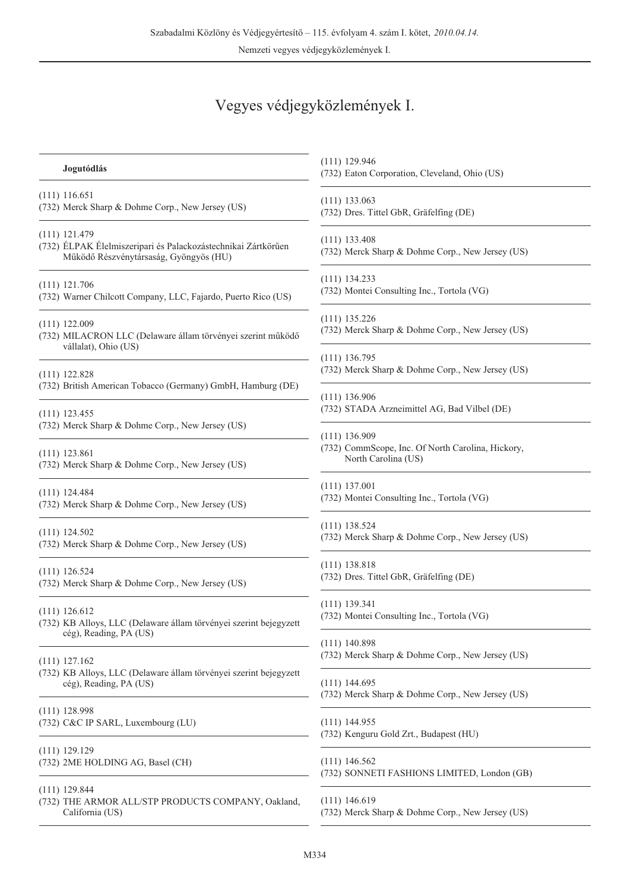# Vegyes védjegyközlemények I.

| Jogutódlás                                                                                                                 | $(111)$ 129.946<br>(732) Eaton Corporation, Cleveland, Ohio (US)                            |
|----------------------------------------------------------------------------------------------------------------------------|---------------------------------------------------------------------------------------------|
| $(111)$ 116.651                                                                                                            | $(111)$ 133.063                                                                             |
| (732) Merck Sharp & Dohme Corp., New Jersey (US)                                                                           | (732) Dres. Tittel GbR, Gräfelfing (DE)                                                     |
| $(111)$ 121.479<br>(732) ÉLPAK Élelmiszeripari és Palackozástechnikai Zártkörűen<br>Működő Részvénytársaság, Gyöngyös (HU) | $(111)$ 133.408<br>(732) Merck Sharp & Dohme Corp., New Jersey (US)                         |
| $(111)$ 121.706                                                                                                            | $(111)$ 134.233                                                                             |
| (732) Warner Chilcott Company, LLC, Fajardo, Puerto Rico (US)                                                              | (732) Montei Consulting Inc., Tortola (VG)                                                  |
| $(111)$ 122.009<br>(732) MILACRON LLC (Delaware állam törvényei szerint működő<br>vállalat), Ohio (US)                     | $(111)$ 135.226<br>(732) Merck Sharp & Dohme Corp., New Jersey (US)                         |
| $(111)$ 122.828                                                                                                            | $(111)$ 136.795                                                                             |
| (732) British American Tobacco (Germany) GmbH, Hamburg (DE)                                                                | (732) Merck Sharp & Dohme Corp., New Jersey (US)                                            |
| $(111)$ 123.455                                                                                                            | $(111)$ 136.906                                                                             |
| (732) Merck Sharp & Dohme Corp., New Jersey (US)                                                                           | (732) STADA Arzneimittel AG, Bad Vilbel (DE)                                                |
| $(111)$ 123.861<br>(732) Merck Sharp & Dohme Corp., New Jersey (US)                                                        | $(111)$ 136.909<br>(732) CommScope, Inc. Of North Carolina, Hickory,<br>North Carolina (US) |
| $(111)$ 124.484                                                                                                            | $(111)$ 137.001                                                                             |
| (732) Merck Sharp & Dohme Corp., New Jersey (US)                                                                           | (732) Montei Consulting Inc., Tortola (VG)                                                  |
| $(111)$ 124.502                                                                                                            | $(111)$ 138.524                                                                             |
| (732) Merck Sharp & Dohme Corp., New Jersey (US)                                                                           | (732) Merck Sharp & Dohme Corp., New Jersey (US)                                            |
| $(111)$ 126.524                                                                                                            | $(111)$ 138.818                                                                             |
| (732) Merck Sharp & Dohme Corp., New Jersey (US)                                                                           | (732) Dres. Tittel GbR, Gräfelfing (DE)                                                     |
| $(111)$ 126.612                                                                                                            | $(111)$ 139.341                                                                             |
| (732) KB Alloys, LLC (Delaware állam törvényei szerint bejegyzett                                                          | (732) Montei Consulting Inc., Tortola (VG)                                                  |
| cég), Reading, PA (US)                                                                                                     | $(111)$ 140.898                                                                             |
| $(111)$ 127.162                                                                                                            | (732) Merck Sharp & Dohme Corp., New Jersey (US)                                            |
| (732) KB Alloys, LLC (Delaware állam törvényei szerint bejegyzett                                                          | $(111)$ 144.695                                                                             |
| cég), Reading, PA (US)                                                                                                     | (732) Merck Sharp & Dohme Corp., New Jersey (US)                                            |
| $(111)$ 128.998                                                                                                            | $(111)$ 144.955                                                                             |
| (732) C&C IP SARL, Luxembourg (LU)                                                                                         | (732) Kenguru Gold Zrt., Budapest (HU)                                                      |
| $(111)$ 129.129                                                                                                            | $(111)$ 146.562                                                                             |
| (732) 2ME HOLDING AG, Basel (CH)                                                                                           | (732) SONNETI FASHIONS LIMITED, London (GB)                                                 |
| $(111)$ 129.844<br>(732) THE ARMOR ALL/STP PRODUCTS COMPANY, Oakland,<br>California (US)                                   | $(111)$ 146.619<br>(732) Merck Sharp & Dohme Corp., New Jersey (US)                         |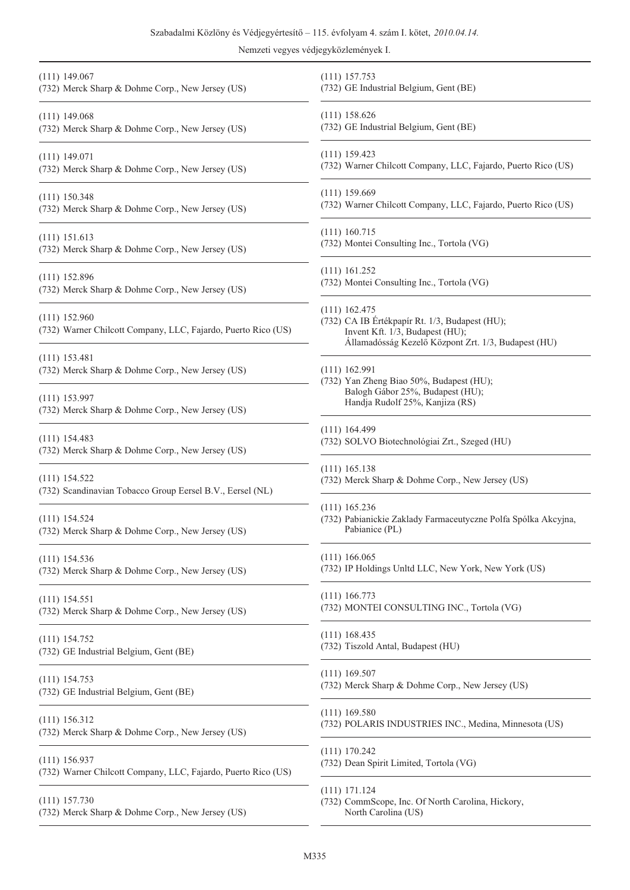|                                                                                  | Szabadalmi Közlöny és Védjegyértesítő – 115. évfolyam 4. szám I. kötet, 2010.04.14.<br>Nemzeti vegyes védjegyközlemények I.                                 |
|----------------------------------------------------------------------------------|-------------------------------------------------------------------------------------------------------------------------------------------------------------|
| $(111)$ 149.067                                                                  | $(111)$ 157.753                                                                                                                                             |
| (732) Merck Sharp & Dohme Corp., New Jersey (US)                                 | (732) GE Industrial Belgium, Gent (BE)                                                                                                                      |
| $(111)$ 149.068                                                                  | $(111)$ 158.626                                                                                                                                             |
| (732) Merck Sharp & Dohme Corp., New Jersey (US)                                 | (732) GE Industrial Belgium, Gent (BE)                                                                                                                      |
| $(111)$ 149.071                                                                  | $(111)$ 159.423                                                                                                                                             |
| (732) Merck Sharp & Dohme Corp., New Jersey (US)                                 | (732) Warner Chilcott Company, LLC, Fajardo, Puerto Rico (US)                                                                                               |
| $(111)$ 150.348                                                                  | $(111)$ 159.669                                                                                                                                             |
| (732) Merck Sharp & Dohme Corp., New Jersey (US)                                 | (732) Warner Chilcott Company, LLC, Fajardo, Puerto Rico (US)                                                                                               |
| $(111)$ 151.613                                                                  | $(111)$ 160.715                                                                                                                                             |
| (732) Merck Sharp & Dohme Corp., New Jersey (US)                                 | (732) Montei Consulting Inc., Tortola (VG)                                                                                                                  |
| $(111)$ 152.896                                                                  | $(111)$ 161.252                                                                                                                                             |
| (732) Merck Sharp & Dohme Corp., New Jersey (US)                                 | (732) Montei Consulting Inc., Tortola (VG)                                                                                                                  |
| $(111)$ 152.960<br>(732) Warner Chilcott Company, LLC, Fajardo, Puerto Rico (US) | $(111)$ 162.475<br>(732) CA IB Értékpapír Rt. 1/3, Budapest (HU);<br>Invent Kft. 1/3, Budapest (HU);<br>Államadósság Kezelő Központ Zrt. 1/3, Budapest (HU) |
| $(111)$ 153.481                                                                  | $(111)$ 162.991                                                                                                                                             |
| (732) Merck Sharp & Dohme Corp., New Jersey (US)                                 | (732) Yan Zheng Biao 50%, Budapest (HU);                                                                                                                    |
| $(111)$ 153.997                                                                  | Balogh Gábor 25%, Budapest (HU);                                                                                                                            |
| (732) Merck Sharp & Dohme Corp., New Jersey (US)                                 | Handja Rudolf 25%, Kanjiza (RS)                                                                                                                             |
| $(111)$ 154.483                                                                  | $(111)$ 164.499                                                                                                                                             |
| (732) Merck Sharp & Dohme Corp., New Jersey (US)                                 | (732) SOLVO Biotechnológiai Zrt., Szeged (HU)                                                                                                               |
| $(111)$ 154.522                                                                  | $(111)$ 165.138                                                                                                                                             |
| (732) Scandinavian Tobacco Group Eersel B.V., Eersel (NL)                        | (732) Merck Sharp & Dohme Corp., New Jersey (US)                                                                                                            |
| $(111)$ 154.524<br>(732) Merck Sharp & Dohme Corp., New Jersey (US)              | $(111)$ 165.236<br>(732) Pabianickie Zaklady Farmaceutyczne Polfa Spólka Akcyjna<br>Pabianice (PL)                                                          |
| $(111)$ 154.536                                                                  | $(111)$ 166.065                                                                                                                                             |
| (732) Merck Sharp & Dohme Corp., New Jersey (US)                                 | (732) IP Holdings Unltd LLC, New York, New York (US)                                                                                                        |
| $(111)$ 154.551                                                                  | $(111)$ 166.773                                                                                                                                             |
| (732) Merck Sharp & Dohme Corp., New Jersey (US)                                 | (732) MONTEI CONSULTING INC., Tortola (VG)                                                                                                                  |
| $(111)$ 154.752                                                                  | $(111)$ 168.435                                                                                                                                             |
| (732) GE Industrial Belgium, Gent (BE)                                           | (732) Tiszold Antal, Budapest (HU)                                                                                                                          |
| $(111)$ 154.753                                                                  | $(111)$ 169.507                                                                                                                                             |
| (732) GE Industrial Belgium, Gent (BE)                                           | (732) Merck Sharp & Dohme Corp., New Jersey (US)                                                                                                            |
| $(111)$ 156.312                                                                  | $(111)$ 169.580                                                                                                                                             |
| (732) Merck Sharp & Dohme Corp., New Jersey (US)                                 | (732) POLARIS INDUSTRIES INC., Medina, Minnesota (US)                                                                                                       |
|                                                                                  | $(111)$ 170.242                                                                                                                                             |

(111) 156.937 (732) Warner Chilcott Company, LLC, Fajardo, Puerto Rico (US)

(111) 157.730 (732) Merck Sharp & Dohme Corp., New Jersey (US)

ting Inc., Tortola (VG) pír Rt. 1/3, Budapest (HU); Budapest (HU); Kezelő Központ Zrt. 1/3, Budapest (HU) to 50%, Budapest (HU);  $25\%$ , Budapest (HU); 25%, Kanjiza (RS) chnológiai Zrt., Szeged (HU) Dohme Corp., New Jersey (US) klady Farmaceutyczne Polfa Spólka Akcyjna, hltd LLC, New York, New York (US) **SULTING INC., Tortola (VG)** Budapest (HU) Dohme Corp., New Jersey (US) (732) POLARIS INDUSTRIES INC., Medina, Minnesota (US) (111) 170.242 (732) Dean Spirit Limited, Tortola (VG) (111) 171.124 (732) CommScope, Inc. Of North Carolina, Hickory, North Carolina (US)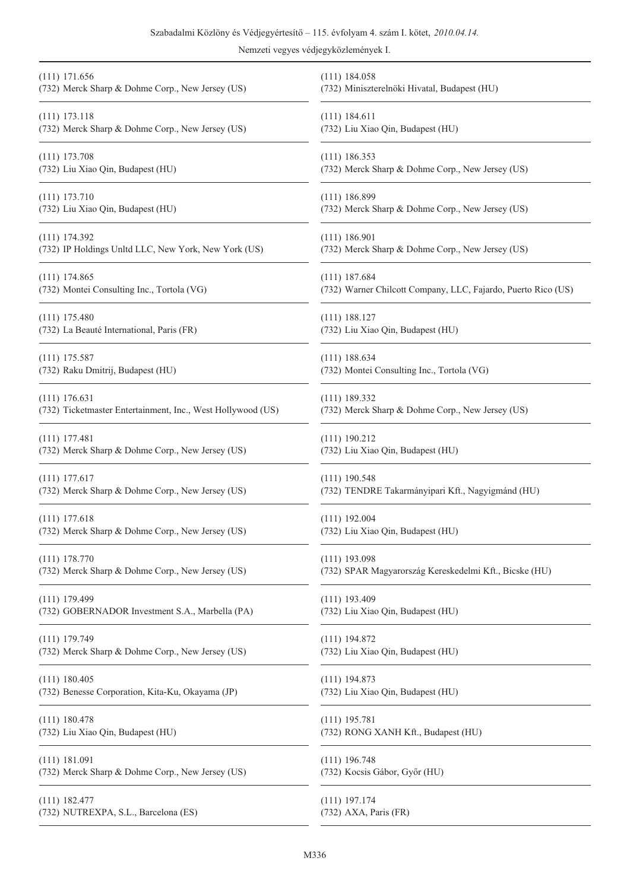## Szabadalmi Közlöny és Védjegyértesítõ – 115. évfolyam 4. szám I. kötet, *2010.04.14.*

| $(111)$ 171.656                                             | $(111)$ 184.058                                               |
|-------------------------------------------------------------|---------------------------------------------------------------|
| (732) Merck Sharp & Dohme Corp., New Jersey (US)            | (732) Miniszterelnöki Hivatal, Budapest (HU)                  |
| $(111)$ 173.118                                             | $(111)$ 184.611                                               |
| (732) Merck Sharp & Dohme Corp., New Jersey (US)            | (732) Liu Xiao Qin, Budapest (HU)                             |
| $(111)$ 173.708                                             | $(111)$ 186.353                                               |
| (732) Liu Xiao Qin, Budapest (HU)                           | (732) Merck Sharp & Dohme Corp., New Jersey (US)              |
| $(111)$ 173.710                                             | (111) 186.899                                                 |
| (732) Liu Xiao Qin, Budapest (HU)                           | (732) Merck Sharp & Dohme Corp., New Jersey (US)              |
| $(111)$ 174.392                                             | $(111)$ 186.901                                               |
| (732) IP Holdings Unltd LLC, New York, New York (US)        | (732) Merck Sharp & Dohme Corp., New Jersey (US)              |
| $(111)$ 174.865                                             | $(111)$ 187.684                                               |
| (732) Montei Consulting Inc., Tortola (VG)                  | (732) Warner Chilcott Company, LLC, Fajardo, Puerto Rico (US) |
| $(111)$ 175.480                                             | $(111)$ 188.127                                               |
| (732) La Beauté International, Paris (FR)                   | (732) Liu Xiao Qin, Budapest (HU)                             |
| $(111)$ 175.587                                             | $(111)$ 188.634                                               |
| (732) Raku Dmitrij, Budapest (HU)                           | (732) Montei Consulting Inc., Tortola (VG)                    |
| $(111)$ 176.631                                             | $(111)$ 189.332                                               |
| (732) Ticketmaster Entertainment, Inc., West Hollywood (US) | (732) Merck Sharp & Dohme Corp., New Jersey (US)              |
| $(111)$ 177.481                                             | $(111)$ 190.212                                               |
| (732) Merck Sharp & Dohme Corp., New Jersey (US)            | (732) Liu Xiao Qin, Budapest (HU)                             |
| $(111)$ 177.617                                             | $(111)$ 190.548                                               |
| (732) Merck Sharp & Dohme Corp., New Jersey (US)            | (732) TENDRE Takarmányipari Kft., Nagyigmánd (HU)             |
| $(111)$ 177.618                                             | $(111)$ 192.004                                               |
| (732) Merck Sharp & Dohme Corp., New Jersey (US)            | (732) Liu Xiao Qin, Budapest (HU)                             |
| $(111)$ 178.770                                             | $(111)$ 193.098                                               |
| (732) Merck Sharp & Dohme Corp., New Jersey (US)            | (732) SPAR Magyarország Kereskedelmi Kft., Bicske (HU)        |
| $(111)$ 179.499                                             | $(111)$ 193.409                                               |
| (732) GOBERNADOR Investment S.A., Marbella (PA)             | (732) Liu Xiao Qin, Budapest (HU)                             |
| $(111)$ 179.749                                             | $(111)$ 194.872                                               |
| (732) Merck Sharp & Dohme Corp., New Jersey (US)            | (732) Liu Xiao Qin, Budapest (HU)                             |
| (111) 180.405                                               | $(111)$ 194.873                                               |
| (732) Benesse Corporation, Kita-Ku, Okayama (JP)            | (732) Liu Xiao Qin, Budapest (HU)                             |
| $(111)$ 180.478                                             | $(111)$ 195.781                                               |
| (732) Liu Xiao Qin, Budapest (HU)                           | (732) RONG XANH Kft., Budapest (HU)                           |
| $(111)$ 181.091                                             | $(111)$ 196.748                                               |
| (732) Merck Sharp & Dohme Corp., New Jersey (US)            | (732) Kocsis Gábor, Győr (HU)                                 |
| $(111)$ 182.477                                             | $(111)$ 197.174                                               |
| (732) NUTREXPA, S.L., Barcelona (ES)                        | (732) AXA, Paris (FR)                                         |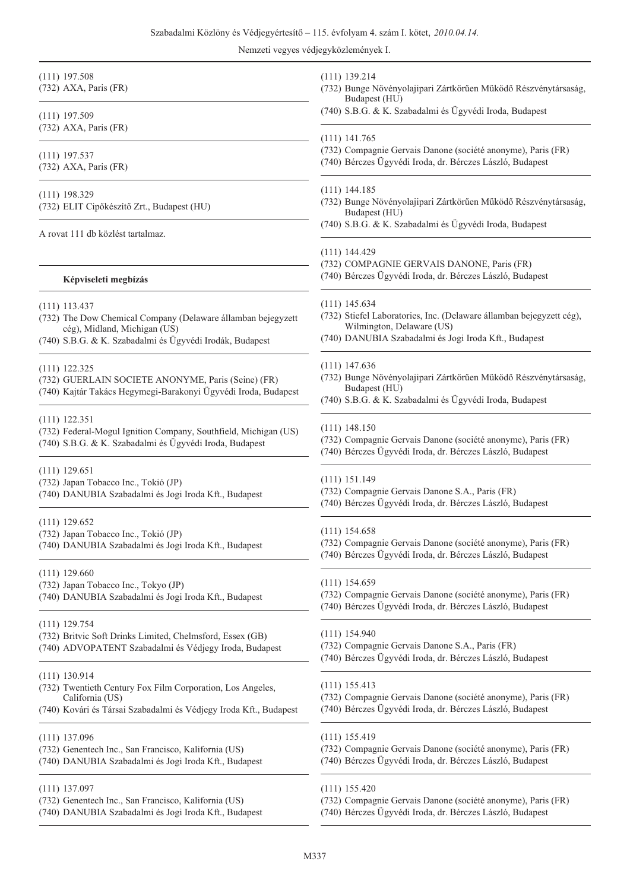| $(111)$ 197.508<br>(732) AXA, Paris (FR)                                                                                                                            | $(111)$ 139.214<br>(732) Bunge Növényolajipari Zártkörűen Működő Részvénytársaság,<br>Budapest (HU)                                                            |
|---------------------------------------------------------------------------------------------------------------------------------------------------------------------|----------------------------------------------------------------------------------------------------------------------------------------------------------------|
| $(111)$ 197.509<br>$(732)$ AXA, Paris (FR)                                                                                                                          | (740) S.B.G. & K. Szabadalmi és Ügyvédi Iroda, Budapest                                                                                                        |
| $(111)$ 197.537<br>(732) AXA, Paris (FR)                                                                                                                            | $(111)$ 141.765<br>(732) Compagnie Gervais Danone (société anonyme), Paris (FR)<br>(740) Bérczes Ügyvédi Iroda, dr. Bérczes László, Budapest                   |
| $(111)$ 198.329                                                                                                                                                     | $(111)$ 144.185                                                                                                                                                |
| (732) ELIT Cipőkészítő Zrt., Budapest (HU)                                                                                                                          | (732) Bunge Növényolajipari Zártkörűen Működő Részvénytársaság,                                                                                                |
| A rovat 111 db közlést tartalmaz.                                                                                                                                   | Budapest (HU)<br>(740) S.B.G. & K. Szabadalmi és Ügyvédi Iroda, Budapest                                                                                       |
| Képviseleti megbízás                                                                                                                                                | $(111)$ 144.429<br>(732) COMPAGNIE GERVAIS DANONE, Paris (FR)<br>(740) Bérczes Ügyvédi Iroda, dr. Bérczes László, Budapest                                     |
| $(111)$ 113.437                                                                                                                                                     | $(111)$ 145.634                                                                                                                                                |
| (732) The Dow Chemical Company (Delaware államban bejegyzett                                                                                                        | (732) Stiefel Laboratories, Inc. (Delaware államban bejegyzett cég),                                                                                           |
| cég), Midland, Michigan (US)                                                                                                                                        | Wilmington, Delaware (US)                                                                                                                                      |
| (740) S.B.G. & K. Szabadalmi és Ügyvédi Irodák, Budapest                                                                                                            | (740) DANUBIA Szabadalmi és Jogi Iroda Kft., Budapest                                                                                                          |
| $(111)$ 122.325<br>(732) GUERLAIN SOCIETE ANONYME, Paris (Seine) (FR)<br>(740) Kajtár Takács Hegymegi-Barakonyi Ügyvédi Iroda, Budapest                             | $(111)$ 147.636<br>(732) Bunge Növényolajipari Zártkörűen Működő Részvénytársaság,<br>Budapest (HU)<br>(740) S.B.G. & K. Szabadalmi és Ügyvédi Iroda, Budapest |
| $(111)$ 122.351                                                                                                                                                     | $(111)$ 148.150                                                                                                                                                |
| (732) Federal-Mogul Ignition Company, Southfield, Michigan (US)                                                                                                     | (732) Compagnie Gervais Danone (société anonyme), Paris (FR)                                                                                                   |
| (740) S.B.G. & K. Szabadalmi és Ügyvédi Iroda, Budapest                                                                                                             | (740) Bérczes Ügyvédi Iroda, dr. Bérczes László, Budapest                                                                                                      |
| $(111)$ 129.651                                                                                                                                                     | $(111)$ 151.149                                                                                                                                                |
| (732) Japan Tobacco Inc., Tokió (JP)                                                                                                                                | (732) Compagnie Gervais Danone S.A., Paris (FR)                                                                                                                |
| (740) DANUBIA Szabadalmi és Jogi Iroda Kft., Budapest                                                                                                               | (740) Bérczes Ügyvédi Iroda, dr. Bérczes László, Budapest                                                                                                      |
| $(111)$ 129.652                                                                                                                                                     | $(111)$ 154.658                                                                                                                                                |
| (732) Japan Tobacco Inc., Tokió (JP)                                                                                                                                | (732) Compagnie Gervais Danone (société anonyme), Paris (FR)                                                                                                   |
| (740) DANUBIA Szabadalmi és Jogi Iroda Kft., Budapest                                                                                                               | (740) Bérczes Ügyvédi Iroda, dr. Bérczes László, Budapest                                                                                                      |
| $(111)$ 129.660                                                                                                                                                     | $(111)$ 154.659                                                                                                                                                |
| (732) Japan Tobacco Inc., Tokyo (JP)                                                                                                                                | (732) Compagnie Gervais Danone (société anonyme), Paris (FR)                                                                                                   |
| (740) DANUBIA Szabadalmi és Jogi Iroda Kft., Budapest                                                                                                               | (740) Bérczes Ügyvédi Iroda, dr. Bérczes László, Budapest                                                                                                      |
| $(111)$ 129.754                                                                                                                                                     | $(111)$ 154.940                                                                                                                                                |
| (732) Britvic Soft Drinks Limited, Chelmsford, Essex (GB)                                                                                                           | (732) Compagnie Gervais Danone S.A., Paris (FR)                                                                                                                |
| (740) ADVOPATENT Szabadalmi és Védjegy Iroda, Budapest                                                                                                              | (740) Bérczes Ügyvédi Iroda, dr. Bérczes László, Budapest                                                                                                      |
| (111) 130.914<br>(732) Twentieth Century Fox Film Corporation, Los Angeles,<br>California (US)<br>(740) Kovári és Társai Szabadalmi és Védjegy Iroda Kft., Budapest | $(111)$ 155.413<br>(732) Compagnie Gervais Danone (société anonyme), Paris (FR)<br>(740) Bérczes Ügyvédi Iroda, dr. Bérczes László, Budapest                   |
| $(111)$ 137.096                                                                                                                                                     | $(111)$ 155.419                                                                                                                                                |
| (732) Genentech Inc., San Francisco, Kalifornia (US)                                                                                                                | (732) Compagnie Gervais Danone (société anonyme), Paris (FR)                                                                                                   |
| (740) DANUBIA Szabadalmi és Jogi Iroda Kft., Budapest                                                                                                               | (740) Bérczes Ügyvédi Iroda, dr. Bérczes László, Budapest                                                                                                      |
| $(111)$ 137.097                                                                                                                                                     | $(111)$ 155.420                                                                                                                                                |
| (732) Genentech Inc., San Francisco, Kalifornia (US)                                                                                                                | (732) Compagnie Gervais Danone (société anonyme), Paris (FR)                                                                                                   |
| (740) DANUBIA Szabadalmi és Jogi Iroda Kft., Budapest                                                                                                               | (740) Bérczes Ügyvédi Iroda, dr. Bérczes László, Budapest                                                                                                      |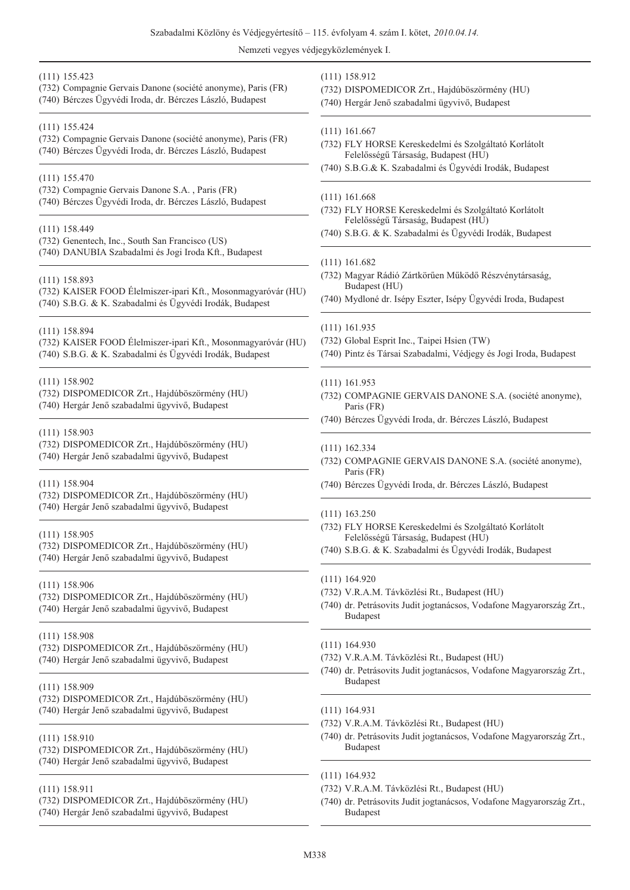| $(111)$ 155.423                                                                                                    | (111) 158.912                                                                                                                                                               |
|--------------------------------------------------------------------------------------------------------------------|-----------------------------------------------------------------------------------------------------------------------------------------------------------------------------|
| (732) Compagnie Gervais Danone (société anonyme), Paris (FR)                                                       | (732) DISPOMEDICOR Zrt., Hajdúböszörmény (HU)                                                                                                                               |
| (740) Bérczes Ügyvédi Iroda, dr. Bérczes László, Budapest                                                          | (740) Hergár Jenő szabadalmi ügyvivő, Budapest                                                                                                                              |
| $(111)$ 155.424                                                                                                    | $(111)$ 161.667                                                                                                                                                             |
| (732) Compagnie Gervais Danone (société anonyme), Paris (FR)                                                       | (732) FLY HORSE Kereskedelmi és Szolgáltató Korlátolt                                                                                                                       |
| (740) Bérczes Ügyvédi Iroda, dr. Bérczes László, Budapest                                                          | Felelősségű Társaság, Budapest (HU)                                                                                                                                         |
| $(111)$ 155.470                                                                                                    | (740) S.B.G.& K. Szabadalmi és Ügyvédi Irodák, Budapest                                                                                                                     |
| (732) Compagnie Gervais Danone S.A., Paris (FR)                                                                    | $(111)$ 161.668                                                                                                                                                             |
| (740) Bérczes Ügyvédi Iroda, dr. Bérczes László, Budapest                                                          | (732) FLY HORSE Kereskedelmi és Szolgáltató Korlátolt                                                                                                                       |
| $(111)$ 158.449                                                                                                    | Felelősségű Társaság, Budapest (HU)                                                                                                                                         |
| (732) Genentech, Inc., South San Francisco (US)                                                                    | (740) S.B.G. & K. Szabadalmi és Ügyvédi Irodák, Budapest                                                                                                                    |
| (740) DANUBIA Szabadalmi és Jogi Iroda Kft., Budapest                                                              | $(111)$ 161.682                                                                                                                                                             |
| $(111)$ 158.893                                                                                                    | (732) Magyar Rádió Zártkörűen Működő Részvénytársaság,                                                                                                                      |
| (732) KAISER FOOD Élelmiszer-ipari Kft., Mosonmagyaróvár (HU)                                                      | Budapest (HU)                                                                                                                                                               |
| (740) S.B.G. & K. Szabadalmi és Ügyvédi Irodák, Budapest                                                           | (740) Mydloné dr. Isépy Eszter, Isépy Ügyvédi Iroda, Budapest                                                                                                               |
| $(111)$ 158.894                                                                                                    | $(111)$ 161.935                                                                                                                                                             |
| (732) KAISER FOOD Élelmiszer-ipari Kft., Mosonmagyaróvár (HU)                                                      | (732) Global Esprit Inc., Taipei Hsien (TW)                                                                                                                                 |
| (740) S.B.G. & K. Szabadalmi és Ügyvédi Irodák, Budapest                                                           | (740) Pintz és Társai Szabadalmi, Védjegy és Jogi Iroda, Budapest                                                                                                           |
| $(111)$ 158.902<br>(732) DISPOMEDICOR Zrt., Hajdúböszörmény (HU)<br>(740) Hergár Jenő szabadalmi ügyvivő, Budapest | $(111)$ 161.953<br>(732) COMPAGNIE GERVAIS DANONE S.A. (société anonyme),<br>Paris (FR)<br>(740) Bérczes Ügyvédi Iroda, dr. Bérczes László, Budapest                        |
| $(111)$ 158.903                                                                                                    | $(111)$ 162.334                                                                                                                                                             |
| (732) DISPOMEDICOR Zrt., Hajdúböszörmény (HU)                                                                      | (732) COMPAGNIE GERVAIS DANONE S.A. (société anonyme),                                                                                                                      |
| (740) Hergár Jenő szabadalmi ügyvivő, Budapest                                                                     | Paris (FR)                                                                                                                                                                  |
| $(111)$ 158.904<br>(732) DISPOMEDICOR Zrt., Hajdúböszörmény (HU)<br>(740) Hergár Jenő szabadalmi ügyvivő, Budapest | (740) Bérczes Ügyvédi Iroda, dr. Bérczes László, Budapest                                                                                                                   |
| $(111)$ 158.905<br>(732) DISPOMEDICOR Zrt., Hajdúböszörmény (HU)<br>(740) Hergár Jenő szabadalmi ügyvivő, Budapest | $(111)$ 163.250<br>(732) FLY HORSE Kereskedelmi és Szolgáltató Korlátolt<br>Felelősségű Társaság, Budapest (HU)<br>(740) S.B.G. & K. Szabadalmi és Ügyvédi Irodák, Budapest |
| $(111)$ 158.906<br>(732) DISPOMEDICOR Zrt., Hajdúböszörmény (HU)<br>(740) Hergár Jenő szabadalmi ügyvivő, Budapest | (111) 164.920<br>(732) V.R.A.M. Távközlési Rt., Budapest (HU)<br>(740) dr. Petrásovits Judit jogtanácsos, Vodafone Magyarország Zrt.<br><b>Budapest</b>                     |
| $(111)$ 158.908                                                                                                    | $(111)$ 164.930                                                                                                                                                             |
| (732) DISPOMEDICOR Zrt., Hajdúböszörmény (HU)                                                                      | (732) V.R.A.M. Távközlési Rt., Budapest (HU)                                                                                                                                |
| (740) Hergár Jenő szabadalmi ügyvivő, Budapest                                                                     | (740) dr. Petrásovits Judit jogtanácsos, Vodafone Magyarország Zrt.                                                                                                         |
| $(111)$ 158.909                                                                                                    | <b>Budapest</b>                                                                                                                                                             |
| (732) DISPOMEDICOR Zrt., Hajdúböszörmény (HU)                                                                      | $(111)$ 164.931                                                                                                                                                             |
| (740) Hergár Jenő szabadalmi ügyvivő, Budapest                                                                     | (732) V.R.A.M. Távközlési Rt., Budapest (HU)                                                                                                                                |
| $(111)$ 158.910<br>(732) DISPOMEDICOR Zrt., Hajdúböszörmény (HU)<br>(740) Hergár Jenő szabadalmi ügyvivő, Budapest | (740) dr. Petrásovits Judit jogtanácsos, Vodafone Magyarország Zrt.<br><b>Budapest</b>                                                                                      |
| $(111)$ 158.911<br>(732) DISPOMEDICOR Zrt., Hajdúböszörmény (HU)<br>(740) Hergár Jenő szabadalmi ügyvivő, Budapest | $(111)$ 164.932<br>(732) V.R.A.M. Távközlési Rt., Budapest (HU)<br>(740) dr. Petrásovits Judit jogtanácsos, Vodafone Magyarország Zrt.<br><b>Budapest</b>                   |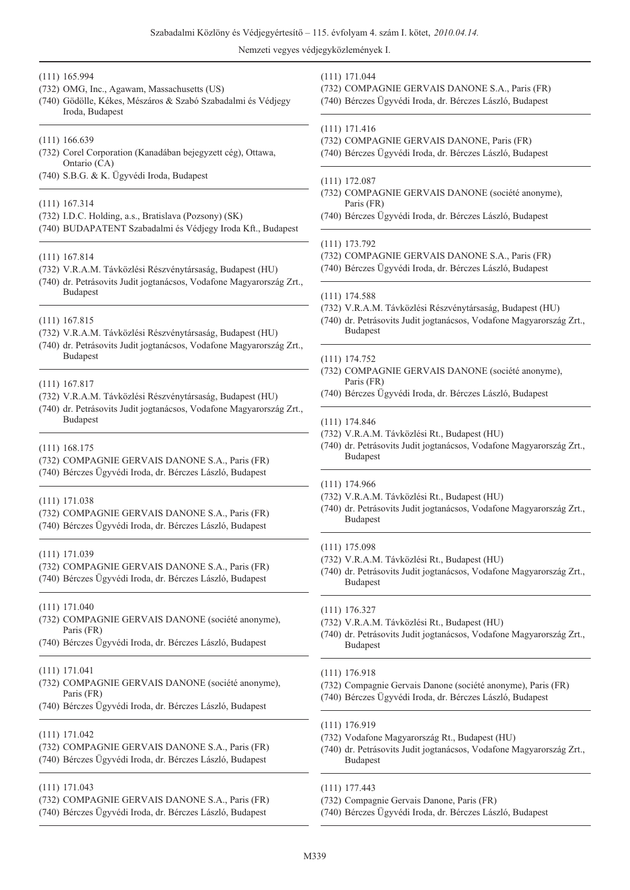#### (111) 165.994

- (732) OMG, Inc., Agawam, Massachusetts (US)
- (740) Gödölle, Kékes, Mészáros & Szabó Szabadalmi és Védjegy Iroda, Budapest

#### (111) 166.639

- (732) Corel Corporation (Kanadában bejegyzett cég), Ottawa, Ontario (CA)
- (740) S.B.G. & K. Ügyvédi Iroda, Budapest

#### (111) 167.314

- (732) I.D.C. Holding, a.s., Bratislava (Pozsony) (SK)
- (740) BUDAPATENT Szabadalmi és Védjegy Iroda Kft., Budapest

#### (111) 167.814

- (732) V.R.A.M. Távközlési Részvénytársaság, Budapest (HU)
- (740) dr. Petrásovits Judit jogtanácsos, Vodafone Magyarország Zrt., Budapest
- (111) 167.815
- (732) V.R.A.M. Távközlési Részvénytársaság, Budapest (HU)
- (740) dr. Petrásovits Judit jogtanácsos, Vodafone Magyarország Zrt., **Budapest**

#### (111) 167.817

- (732) V.R.A.M. Távközlési Részvénytársaság, Budapest (HU)
- (740) dr. Petrásovits Judit jogtanácsos, Vodafone Magyarország Zrt., Budapest

#### (111) 168.175

- (732) COMPAGNIE GERVAIS DANONE S.A., Paris (FR)
- (740) Bérczes Ügyvédi Iroda, dr. Bérczes László, Budapest

#### (111) 171.038

(732) COMPAGNIE GERVAIS DANONE S.A., Paris (FR) (740) Bérczes Ügyvédi Iroda, dr. Bérczes László, Budapest

#### (111) 171.039

(732) COMPAGNIE GERVAIS DANONE S.A., Paris (FR) (740) Bérczes Ügyvédi Iroda, dr. Bérczes László, Budapest

(111) 171.040

- (732) COMPAGNIE GERVAIS DANONE (société anonyme), Paris (FR)
- (740) Bérczes Ügyvédi Iroda, dr. Bérczes László, Budapest
- (111) 171.041
- (732) COMPAGNIE GERVAIS DANONE (société anonyme), Paris (FR)
- (740) Bérczes Ügyvédi Iroda, dr. Bérczes László, Budapest

#### (111) 171.042

- (732) COMPAGNIE GERVAIS DANONE S.A., Paris (FR)
- (740) Bérczes Ügyvédi Iroda, dr. Bérczes László, Budapest

#### (111) 171.043

- (732) COMPAGNIE GERVAIS DANONE S.A., Paris (FR)
- (740) Bérczes Ügyvédi Iroda, dr. Bérczes László, Budapest

#### (111) 171.044

- (732) COMPAGNIE GERVAIS DANONE S.A., Paris (FR)
- (740) Bérczes Ügyvédi Iroda, dr. Bérczes László, Budapest

#### (111) 171.416

- (732) COMPAGNIE GERVAIS DANONE, Paris (FR)
- (740) Bérczes Ügyvédi Iroda, dr. Bérczes László, Budapest

#### (111) 172.087

- (732) COMPAGNIE GERVAIS DANONE (société anonyme), Paris (FR)
- (740) Bérczes Ügyvédi Iroda, dr. Bérczes László, Budapest

#### (111) 173.792

- (732) COMPAGNIE GERVAIS DANONE S.A., Paris (FR)
- (740) Bérczes Ügyvédi Iroda, dr. Bérczes László, Budapest

#### (111) 174.588

- (732) V.R.A.M. Távközlési Részvénytársaság, Budapest (HU)
- (740) dr. Petrásovits Judit jogtanácsos, Vodafone Magyarország Zrt., Budapest

#### (111) 174.752

- (732) COMPAGNIE GERVAIS DANONE (société anonyme), Paris (FR)
- (740) Bérczes Ügyvédi Iroda, dr. Bérczes László, Budapest

#### (111) 174.846

- (732) V.R.A.M. Távközlési Rt., Budapest (HU)
- (740) dr. Petrásovits Judit jogtanácsos, Vodafone Magyarország Zrt., Budapest

### (111) 174.966

- (732) V.R.A.M. Távközlési Rt., Budapest (HU)
- (740) dr. Petrásovits Judit jogtanácsos, Vodafone Magyarország Zrt., Budapest

#### (111) 175.098

- (732) V.R.A.M. Távközlési Rt., Budapest (HU)
- (740) dr. Petrásovits Judit jogtanácsos, Vodafone Magyarország Zrt., Budapest
- (111) 176.327
- (732) V.R.A.M. Távközlési Rt., Budapest (HU)
- (740) dr. Petrásovits Judit jogtanácsos, Vodafone Magyarország Zrt., Budapest
- (111) 176.918
- (732) Compagnie Gervais Danone (société anonyme), Paris (FR)
- (740) Bérczes Ügyvédi Iroda, dr. Bérczes László, Budapest

#### (111) 176.919

- (732) Vodafone Magyarország Rt., Budapest (HU)
- (740) dr. Petrásovits Judit jogtanácsos, Vodafone Magyarország Zrt., Budapest
- (111) 177.443
- (732) Compagnie Gervais Danone, Paris (FR)
- (740) Bérczes Ügyvédi Iroda, dr. Bérczes László, Budapest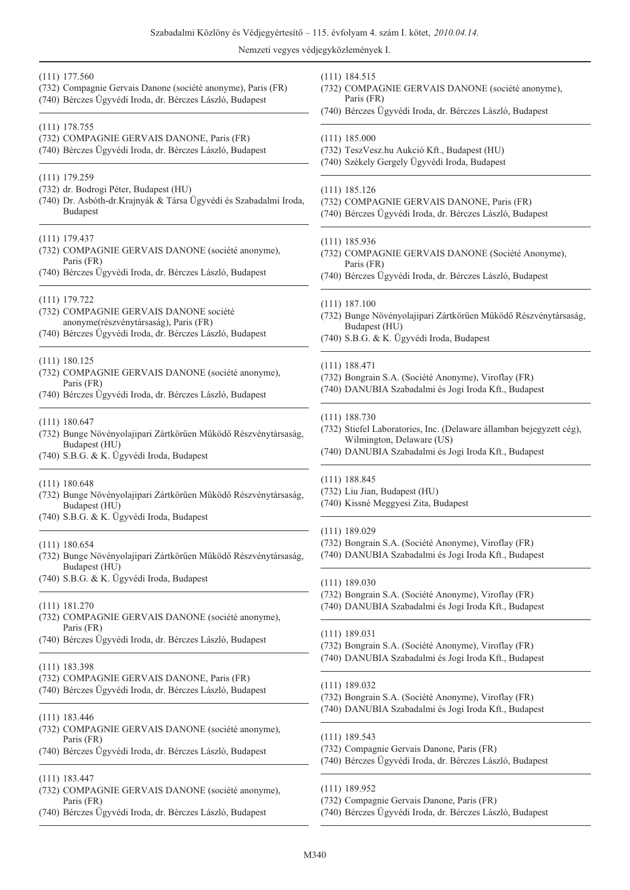| $(111)$ 177.560<br>(732) Compagnie Gervais Danone (société anonyme), Paris (FR)<br>(740) Bérczes Ügyvédi Iroda, dr. Bérczes László, Budapest                    | $(111)$ 184.515<br>(732) COMPAGNIE GERVAIS DANONE (société anonyme),<br>Paris (FR)<br>(740) Bérczes Ügyvédi Iroda, dr. Bérczes László, Budapest                               |
|-----------------------------------------------------------------------------------------------------------------------------------------------------------------|-------------------------------------------------------------------------------------------------------------------------------------------------------------------------------|
| $(111)$ 178.755<br>(732) COMPAGNIE GERVAIS DANONE, Paris (FR)<br>(740) Bérczes Ügyvédi Iroda, dr. Bérczes László, Budapest                                      | $(111)$ 185.000<br>(732) TeszVesz.hu Aukció Kft., Budapest (HU)<br>(740) Székely Gergely Ügyvédi Iroda, Budapest                                                              |
| $(111)$ 179.259<br>(732) dr. Bodrogi Péter, Budapest (HU)<br>(740) Dr. Asbóth-dr.Krajnyák & Társa Ügyvédi és Szabadalmi Iroda,<br><b>Budapest</b>               | $(111)$ 185.126<br>(732) COMPAGNIE GERVAIS DANONE, Paris (FR)<br>(740) Bérczes Ügyvédi Iroda, dr. Bérczes László, Budapest                                                    |
| $(111)$ 179.437<br>(732) COMPAGNIE GERVAIS DANONE (société anonyme),<br>Paris (FR)<br>(740) Bérczes Ügyvédi Iroda, dr. Bérczes László, Budapest                 | $(111)$ 185.936<br>(732) COMPAGNIE GERVAIS DANONE (Société Anonyme),<br>Paris (FR)<br>(740) Bérczes Ügyvédi Iroda, dr. Bérczes László, Budapest                               |
| $(111)$ 179.722<br>(732) COMPAGNIE GERVAIS DANONE société<br>anonyme(részvénytársaság), Paris (FR)<br>(740) Bérczes Ügyvédi Iroda, dr. Bérczes László, Budapest | $(111)$ 187.100<br>(732) Bunge Növényolajipari Zártkörűen Működő Részvénytársaság,<br>Budapest (HU)<br>(740) S.B.G. & K. Ügyvédi Iroda, Budapest                              |
| $(111)$ 180.125<br>(732) COMPAGNIE GERVAIS DANONE (société anonyme),<br>Paris (FR)<br>(740) Bérczes Ügyvédi Iroda, dr. Bérczes László, Budapest                 | $(111)$ 188.471<br>(732) Bongrain S.A. (Société Anonyme), Viroflay (FR)<br>(740) DANUBIA Szabadalmi és Jogi Iroda Kft., Budapest                                              |
| (111) 180.647<br>(732) Bunge Növényolajipari Zártkörűen Működő Részvénytársaság,<br>Budapest (HU)<br>(740) S.B.G. & K. Ügyvédi Iroda, Budapest                  | $(111)$ 188.730<br>(732) Stiefel Laboratories, Inc. (Delaware államban bejegyzett cég),<br>Wilmington, Delaware (US)<br>(740) DANUBIA Szabadalmi és Jogi Iroda Kft., Budapest |
| $(111)$ 180.648<br>(732) Bunge Növényolajipari Zártkörűen Működő Részvénytársaság,<br>Budapest (HU)<br>(740) S.B.G. & K. Ügyvédi Iroda, Budapest                | $(111)$ 188.845<br>(732) Liu Jian, Budapest (HU)<br>(740) Kissné Meggyesi Zita, Budapest                                                                                      |
| $(111)$ 180.654<br>(732) Bunge Növényolajipari Zártkörűen Működő Részvénytársaság,<br>Budapest (HU)                                                             | $(111)$ 189.029<br>(732) Bongrain S.A. (Société Anonyme), Viroflay (FR)<br>(740) DANUBIA Szabadalmi és Jogi Iroda Kft., Budapest                                              |
| (740) S.B.G. & K. Ügyvédi Iroda, Budapest<br>$(111)$ 181.270<br>(732) COMPAGNIE GERVAIS DANONE (société anonyme),                                               | $(111)$ 189.030<br>(732) Bongrain S.A. (Société Anonyme), Viroflay (FR)<br>(740) DANUBIA Szabadalmi és Jogi Iroda Kft., Budapest                                              |
| Paris (FR)<br>(740) Bérczes Ügyvédi Iroda, dr. Bérczes László, Budapest                                                                                         | (111) 189.031<br>(732) Bongrain S.A. (Société Anonyme), Viroflay (FR)<br>(740) DANUBIA Szabadalmi és Jogi Iroda Kft., Budapest                                                |
| $(111)$ 183.398<br>(732) COMPAGNIE GERVAIS DANONE, Paris (FR)<br>(740) Bérczes Ügyvédi Iroda, dr. Bérczes László, Budapest                                      | $(111)$ 189.032<br>(732) Bongrain S.A. (Société Anonyme), Viroflay (FR)<br>(740) DANUBIA Szabadalmi és Jogi Iroda Kft., Budapest                                              |
| $(111)$ 183.446<br>(732) COMPAGNIE GERVAIS DANONE (société anonyme),<br>Paris (FR)<br>(740) Bérczes Ügyvédi Iroda, dr. Bérczes László, Budapest                 | $(111)$ 189.543<br>(732) Compagnie Gervais Danone, Paris (FR)<br>(740) Bérczes Ügyvédi Iroda, dr. Bérczes László, Budapest                                                    |
| $(111)$ 183.447<br>(732) COMPAGNIE GERVAIS DANONE (société anonyme),<br>Paris (FR)<br>(740) Bérczes Ügyvédi Iroda, dr. Bérczes László, Budapest                 | $(111)$ 189.952<br>(732) Compagnie Gervais Danone, Paris (FR)<br>(740) Bérczes Ügyvédi Iroda, dr. Bérczes László, Budapest                                                    |
|                                                                                                                                                                 |                                                                                                                                                                               |

M340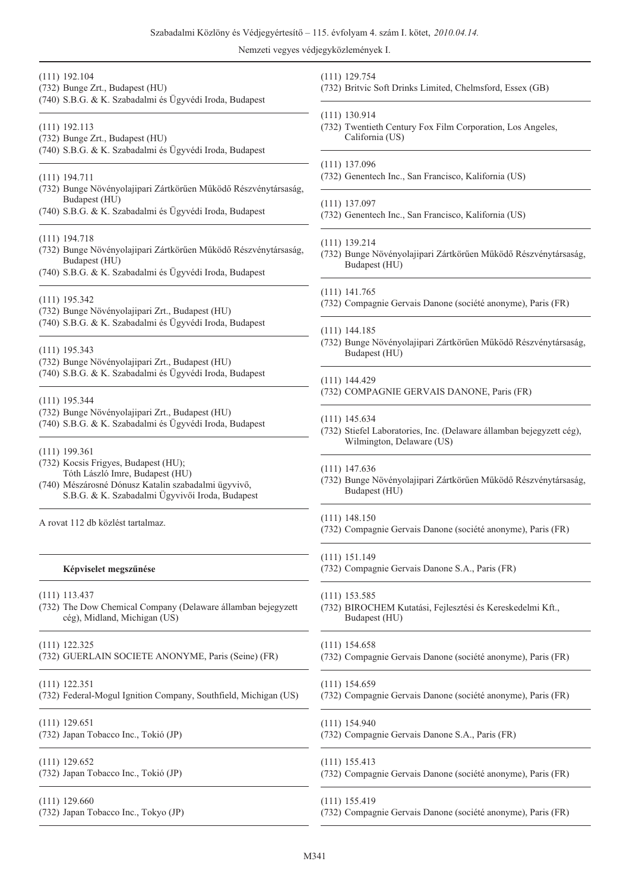| $(111)$ 192.104<br>(732) Bunge Zrt., Budapest (HU)<br>(740) S.B.G. & K. Szabadalmi és Ügyvédi Iroda, Budapest                                                                                        | $(111)$ 129.754<br>(732) Britvic Soft                     |
|------------------------------------------------------------------------------------------------------------------------------------------------------------------------------------------------------|-----------------------------------------------------------|
| $(111)$ 192.113<br>(732) Bunge Zrt., Budapest (HU)<br>(740) S.B.G. & K. Szabadalmi és Ügyvédi Iroda, Budapest                                                                                        | $(111)$ 130.914<br>(732) Twentieth C<br>California (U     |
| $(111)$ 194.711<br>(732) Bunge Növényolajipari Zártkörűen Működő Részvénytársaság,                                                                                                                   | $(111)$ 137.096<br>(732) Genentech I                      |
| Budapest (HU)<br>(740) S.B.G. & K. Szabadalmi és Ügyvédi Iroda, Budapest                                                                                                                             | $(111)$ 137.097<br>(732) Genentech I:                     |
| $(111)$ 194.718<br>(732) Bunge Növényolajipari Zártkörűen Működő Részvénytársaság,<br>Budapest (HU)<br>(740) S.B.G. & K. Szabadalmi és Ügyvédi Iroda, Budapest                                       | $(111)$ 139.214<br>(732) Bunge Növé<br>Budapest (H        |
| $(111)$ 195.342<br>(732) Bunge Növényolajipari Zrt., Budapest (HU)<br>(740) S.B.G. & K. Szabadalmi és Ügyvédi Iroda, Budapest                                                                        | $(111)$ 141.765<br>(732) Compagnie                        |
| $(111)$ 195.343<br>(732) Bunge Növényolajipari Zrt., Budapest (HU)                                                                                                                                   | $(111)$ 144.185<br>(732) Bunge Növé<br>Budapest (H        |
| (740) S.B.G. & K. Szabadalmi és Ügyvédi Iroda, Budapest<br>$(111)$ 195.344                                                                                                                           | $(111)$ 144.429<br>(732) COMPAGN                          |
| (732) Bunge Növényolajipari Zrt., Budapest (HU)<br>(740) S.B.G. & K. Szabadalmi és Ügyvédi Iroda, Budapest                                                                                           | $(111)$ 145.634<br>(732) Stiefel Labo<br>Wilmington,      |
| $(111)$ 199.361<br>(732) Kocsis Frigyes, Budapest (HU);<br>Tóth László Imre, Budapest (HU)<br>(740) Mészárosné Dónusz Katalin szabadalmi ügyvivő,<br>S.B.G. & K. Szabadalmi Ügyvivői Iroda, Budapest | $(111)$ 147.636<br>(732) Bunge Növé<br><b>Budapest</b> (H |
| A rovat 112 db közlést tartalmaz.                                                                                                                                                                    | (111) 148.150<br>(732) Compagnie                          |
| Képviselet megszűnése                                                                                                                                                                                | $(111)$ 151.149<br>(732) Compagnie                        |
| $(111)$ 113.437<br>(732) The Dow Chemical Company (Delaware államban bejegyzett<br>cég), Midland, Michigan (US)                                                                                      | $(111)$ 153.585<br>(732) BIROCHEN<br>Budapest (H          |
| $(111)$ 122.325<br>(732) GUERLAIN SOCIETE ANONYME, Paris (Seine) (FR)                                                                                                                                | $(111)$ 154.658<br>(732) Compagnie                        |
| $(111)$ 122.351<br>(732) Federal-Mogul Ignition Company, Southfield, Michigan (US)                                                                                                                   | $(111)$ 154.659<br>(732) Compagnie                        |
| $(111)$ 129.651<br>(732) Japan Tobacco Inc., Tokió (JP)                                                                                                                                              | $(111)$ 154.940<br>(732) Compagnie                        |
| $(111)$ 129.652<br>(732) Japan Tobacco Inc., Tokió (JP)                                                                                                                                              | $(111)$ 155.413<br>(732) Compagnie                        |
| $(111)$ 129.660<br>(732) Japan Tobacco Inc., Tokyo (JP)                                                                                                                                              | $(111)$ 155.419<br>(732) Compagnie                        |
|                                                                                                                                                                                                      |                                                           |

- Drinks Limited, Chelmsford, Essex (GB)
- 'entury Fox Film Corporation, Los Angeles,  $US)$
- nc., San Francisco, Kalifornia (US)
- nc., San Francisco, Kalifornia (US)
- ényolajipari Zártkörűen Működő Részvénytársaság,  $\overline{\mathrm{U}}$
- Gervais Danone (société anonyme), Paris (FR)
- ényolajipari Zártkörűen Működő Részvénytársaság,  $\dot{\mathbb{U}}$
- **IIE GERVAIS DANONE, Paris (FR)**
- oratories, Inc. (Delaware államban bejegyzett cég), Delaware (US)
- ényolajipari Zártkörűen Működő Részvénytársaság, IU)
- Gervais Danone (société anonyme), Paris (FR)
- Gervais Danone S.A., Paris (FR)
- (732) Birochem Kutatási, Fejlesztési és Kereskedelmi Kft., IU)
- Gervais Danone (société anonyme), Paris (FR)
- Gervais Danone (société anonyme), Paris (FR)
- Gervais Danone S.A., Paris (FR)

Gervais Danone (société anonyme), Paris (FR)

Gervais Danone (société anonyme), Paris (FR)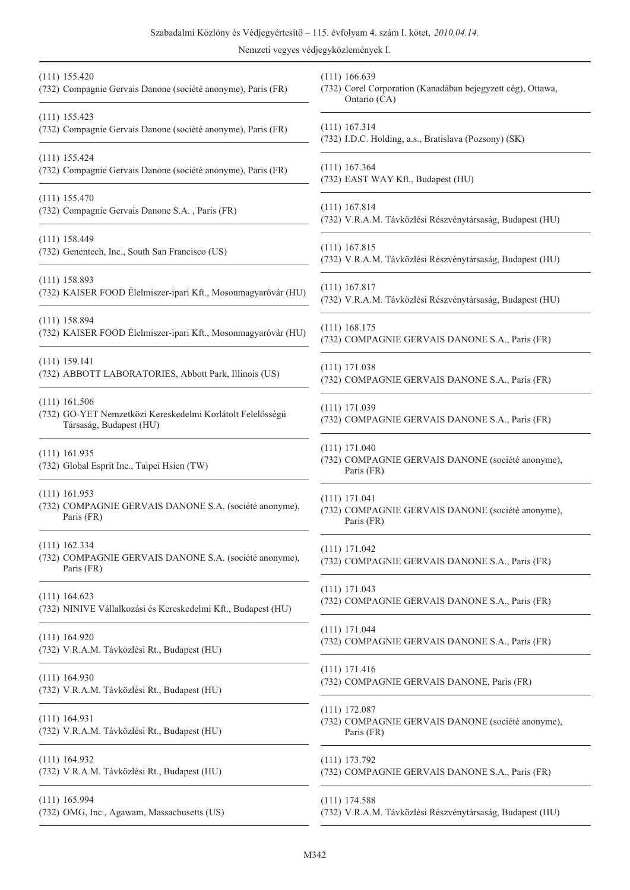| $(111)$ 155.420<br>(732) Compagnie Gervais Danone (société anonyme), Paris (FR)                          | $(111)$ 166.639<br>(732) Corel Corporation (Kanadában bejegyzett cég), Ottawa,<br>Ontario (CA) |
|----------------------------------------------------------------------------------------------------------|------------------------------------------------------------------------------------------------|
| $(111)$ 155.423                                                                                          | $(111)$ 167.314                                                                                |
| (732) Compagnie Gervais Danone (société anonyme), Paris (FR)                                             | (732) I.D.C. Holding, a.s., Bratislava (Pozsony) (SK)                                          |
| $(111)$ 155.424                                                                                          | $(111)$ 167.364                                                                                |
| (732) Compagnie Gervais Danone (société anonyme), Paris (FR)                                             | (732) EAST WAY Kft., Budapest (HU)                                                             |
| $(111)$ 155.470                                                                                          | $(111)$ 167.814                                                                                |
| (732) Compagnie Gervais Danone S.A., Paris (FR)                                                          | (732) V.R.A.M. Távközlési Részvénytársaság, Budapest (HU)                                      |
| $(111)$ 158.449                                                                                          | $(111)$ 167.815                                                                                |
| (732) Genentech, Inc., South San Francisco (US)                                                          | (732) V.R.A.M. Távközlési Részvénytársaság, Budapest (HU)                                      |
| $(111)$ 158.893                                                                                          | $(111)$ 167.817                                                                                |
| (732) KAISER FOOD Élelmiszer-ipari Kft., Mosonmagyaróvár (HU)                                            | (732) V.R.A.M. Távközlési Részvénytársaság, Budapest (HU)                                      |
| $(111)$ 158.894                                                                                          | $(111)$ 168.175                                                                                |
| (732) KAISER FOOD Élelmiszer-ipari Kft., Mosonmagyaróvár (HU)                                            | (732) COMPAGNIE GERVAIS DANONE S.A., Paris (FR)                                                |
| $(111)$ 159.141                                                                                          | $(111)$ 171.038                                                                                |
| (732) ABBOTT LABORATORIES, Abbott Park, Illinois (US)                                                    | (732) COMPAGNIE GERVAIS DANONE S.A., Paris (FR)                                                |
| $(111)$ 161.506<br>(732) GO-YET Nemzetközi Kereskedelmi Korlátolt Felelősségű<br>Társaság, Budapest (HU) | $(111)$ 171.039<br>(732) COMPAGNIE GERVAIS DANONE S.A., Paris (FR)                             |
| $(111)$ 161.935<br>(732) Global Esprit Inc., Taipei Hsien (TW)                                           | (111) 171.040<br>(732) COMPAGNIE GERVAIS DANONE (société anonyme),<br>Paris (FR)               |
| $(111)$ 161.953                                                                                          | $(111)$ 171.041                                                                                |
| (732) COMPAGNIE GERVAIS DANONE S.A. (société anonyme),                                                   | (732) COMPAGNIE GERVAIS DANONE (société anonyme),                                              |
| Paris (FR)                                                                                               | Paris (FR)                                                                                     |
| $(111)$ 162.334<br>(732) COMPAGNIE GERVAIS DANONE S.A. (société anonyme),<br>Paris (FR)                  | (111) 171.042<br>(732) COMPAGNIE GERVAIS DANONE S.A., Paris (FR)                               |
| $(111)$ 164.623                                                                                          | $(111)$ 171.043                                                                                |
| (732) NINIVE Vállalkozási és Kereskedelmi Kft., Budapest (HU)                                            | (732) COMPAGNIE GERVAIS DANONE S.A., Paris (FR)                                                |
| $(111)$ 164.920                                                                                          | $(111)$ 171.044                                                                                |
| (732) V.R.A.M. Távközlési Rt., Budapest (HU)                                                             | (732) COMPAGNIE GERVAIS DANONE S.A., Paris (FR)                                                |
| $(111)$ 164.930                                                                                          | $(111)$ 171.416                                                                                |
| (732) V.R.A.M. Távközlési Rt., Budapest (HU)                                                             | (732) COMPAGNIE GERVAIS DANONE, Paris (FR)                                                     |
| $(111)$ 164.931<br>(732) V.R.A.M. Távközlési Rt., Budapest (HU)                                          | $(111)$ 172.087<br>(732) COMPAGNIE GERVAIS DANONE (société anonyme),<br>Paris (FR)             |
| $(111)$ 164.932                                                                                          | $(111)$ 173.792                                                                                |
| (732) V.R.A.M. Távközlési Rt., Budapest (HU)                                                             | (732) COMPAGNIE GERVAIS DANONE S.A., Paris (FR)                                                |
| $(111)$ 165.994                                                                                          | $(111)$ 174.588                                                                                |
| (732) OMG, Inc., Agawam, Massachusetts (US)                                                              | (732) V.R.A.M. Távközlési Részvénytársaság, Budapest (HU)                                      |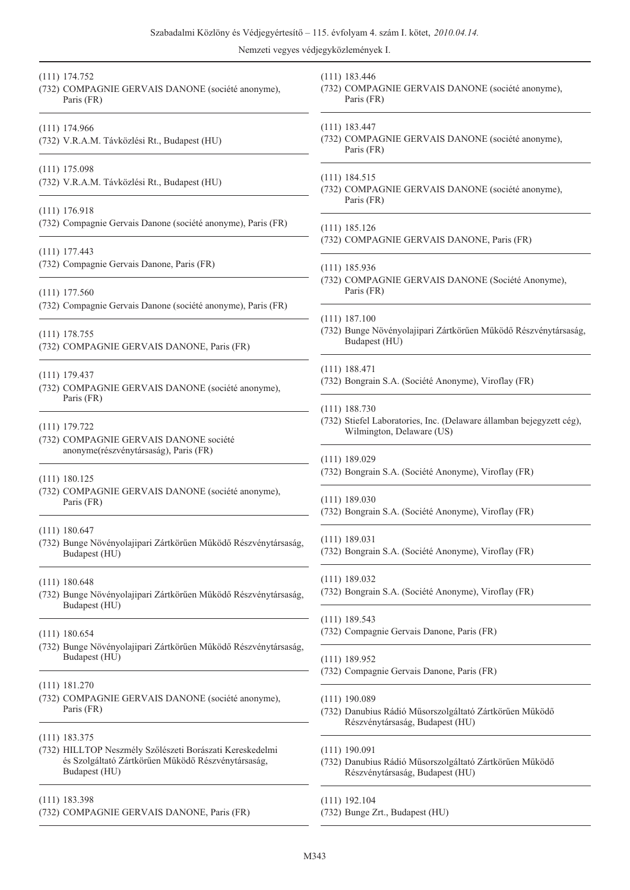(111) 183.446

Paris (FR)

#### (111) 174.752

(732) COMPAGNIE GERVAIS DANONE (société anonyme), Paris (FR)

#### (111) 174.966

- (732) V.R.A.M. Távközlési Rt., Budapest (HU)
- (111) 175.098
- (732) V.R.A.M. Távközlési Rt., Budapest (HU)

#### (111) 176.918

(732) Compagnie Gervais Danone (société anonyme), Paris (FR)

#### (111) 177.443

(732) Compagnie Gervais Danone, Paris (FR)

#### (111) 177.560

(732) Compagnie Gervais Danone (société anonyme), Paris (FR)

#### (111) 178.755

(732) COMPAGNIE GERVAIS DANONE, Paris (FR)

#### (111) 179.437

(732) COMPAGNIE GERVAIS DANONE (société anonyme), Paris (FR)

#### (111) 179.722

(732) COMPAGNIE GERVAIS DANONE société anonyme(részvénytársaság), Paris (FR)

#### (111) 180.125

(732) COMPAGNIE GERVAIS DANONE (société anonyme), Paris (FR)

#### (111) 180.647

(732) Bunge Növényolajipari Zártkörûen Mûködõ Részvénytársaság, Budapest (HU)

#### (111) 180.648

(732) Bunge Növényolajipari Zártkörûen Mûködõ Részvénytársaság, Budapest (HU)

#### (111) 180.654

- (732) Bunge Növényolajipari Zártkörûen Mûködõ Részvénytársaság, Budapest (HU)
- (111) 181.270
- (732) COMPAGNIE GERVAIS DANONE (société anonyme), Paris (FR)
- (111) 183.375
- (732) HILLTOP Neszmély Szõlészeti Borászati Kereskedelmi és Szolgáltató Zártkörûen Mûködõ Részvénytársaság, Budapest (HU)
- (111) 183.398
- (732) COMPAGNIE GERVAIS DANONE, Paris (FR)
- (111) 183.447 (732) COMPAGNIE GERVAIS DANONE (société anonyme), Paris (FR) (111) 184.515 (732) COMPAGNIE GERVAIS DANONE (société anonyme), Paris (FR) (111) 185.126 (732) COMPAGNIE GERVAIS DANONE, Paris (FR) (111) 185.936 (732) COMPAGNIE GERVAIS DANONE (Société Anonyme), Paris (FR) (111) 187.100 (732) Bunge Növényolajipari Zártkörûen Mûködõ Részvénytársaság, Budapest (HU) (111) 188.471 (732) Bongrain S.A. (Société Anonyme), Viroflay (FR) (111) 188.730 (732) Stiefel Laboratories, Inc. (Delaware államban bejegyzett cég), Wilmington, Delaware (US) (111) 189.029 (732) Bongrain S.A. (Société Anonyme), Viroflay (FR) (111) 189.030 (732) Bongrain S.A. (Société Anonyme), Viroflay (FR) (111) 189.031 (732) Bongrain S.A. (Société Anonyme), Viroflay (FR) (111) 189.032 (732) Bongrain S.A. (Société Anonyme), Viroflay (FR) (111) 189.543 (732) Compagnie Gervais Danone, Paris (FR) (111) 189.952 (732) Compagnie Gervais Danone, Paris (FR) (111) 190.089 (732) Danubius Rádió Mûsorszolgáltató Zártkörûen Mûködõ Részvénytársaság, Budapest (HU) (111) 190.091 (732) Danubius Rádió Mûsorszolgáltató Zártkörûen Mûködõ Részvénytársaság, Budapest (HU)

(732) COMPAGNIE GERVAIS DANONE (société anonyme),

- (111) 192.104
- (732) Bunge Zrt., Budapest (HU)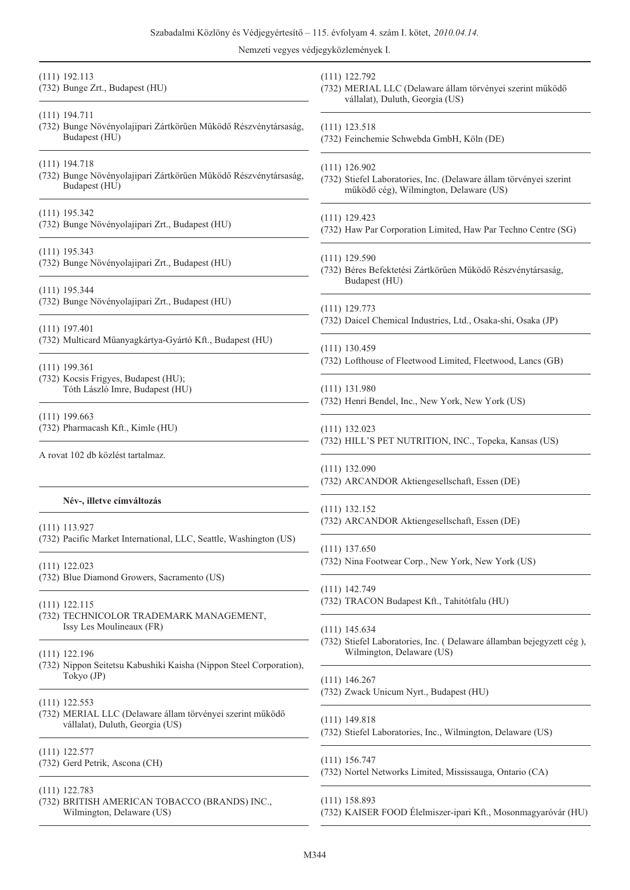| $(111)$ 192.113<br>(732) Bunge Zrt., Budapest (HU)                                                  | $(111)$ 122.792<br>(732) MERIAL LLC (Delaware állam törvényei szerint működő<br>vállalat), Duluth, Georgia (US) |
|-----------------------------------------------------------------------------------------------------|-----------------------------------------------------------------------------------------------------------------|
| $(111)$ 194.711<br>(732) Bunge Növényolajipari Zártkörűen Működő Részvénytársaság,<br>Budapest (HU) | $(111)$ 123.518<br>(732) Feinchemie Schwebda GmbH, Köln (DE)                                                    |
| $(111)$ 194.718                                                                                     | $(111)$ 126.902                                                                                                 |
| (732) Bunge Növényolajipari Zártkörűen Működő Részvénytársaság,                                     | (732) Stiefel Laboratories, Inc. (Delaware állam törvényei szerint                                              |
| Budapest (HU)                                                                                       | működő cég), Wilmington, Delaware (US)                                                                          |
| $(111)$ 195.342                                                                                     | $(111)$ 129.423                                                                                                 |
| (732) Bunge Növényolajipari Zrt., Budapest (HU)                                                     | (732) Haw Par Corporation Limited, Haw Par Techno Centre (SG)                                                   |
| $(111)$ 195.343<br>(732) Bunge Növényolajipari Zrt., Budapest (HU)                                  | $(111)$ 129.590<br>(732) Béres Befektetési Zártkörűen Működő Részvénytársaság,<br>Budapest (HU)                 |
| $(111)$ 195.344                                                                                     | $(111)$ 129.773                                                                                                 |
| (732) Bunge Növényolajipari Zrt., Budapest (HU)                                                     | (732) Daicel Chemical Industries, Ltd., Osaka-shi, Osaka (JP)                                                   |
| $(111)$ 197.401<br>(732) Multicard Műanyagkártya-Gyártó Kft., Budapest (HU)                         | $(111)$ 130.459                                                                                                 |
| $(111)$ 199.361                                                                                     | (732) Lofthouse of Fleetwood Limited, Fleetwood, Lancs (GB)                                                     |
| (732) Kocsis Frigyes, Budapest (HU);                                                                | $(111)$ 131.980                                                                                                 |
| Tóth László Imre, Budapest (HU)                                                                     | (732) Henri Bendel, Inc., New York, New York (US)                                                               |
| $(111)$ 199.663                                                                                     | $(111)$ 132.023                                                                                                 |
| (732) Pharmacash Kft., Kimle (HU)                                                                   | (732) HILL'S PET NUTRITION, INC., Topeka, Kansas (US)                                                           |
| A rovat 102 db közlést tartalmaz.                                                                   | $(111)$ 132.090<br>(732) ARCANDOR Aktiengesellschaft, Essen (DE)                                                |
| Név-, illetve címváltozás                                                                           | $(111)$ 132.152                                                                                                 |
| $(111)$ 113.927                                                                                     | (732) ARCANDOR Aktiengesellschaft, Essen (DE)                                                                   |
| (732) Pacific Market International, LLC, Seattle, Washington (US)                                   | $(111)$ 137.650                                                                                                 |
| $(111)$ 122.023                                                                                     | (732) Nina Footwear Corp., New York, New York (US)                                                              |
| (732) Blue Diamond Growers, Sacramento (US)                                                         | $(111)$ 142.749                                                                                                 |
| $(111)$ 122.115<br>(732) TECHNICOLOR TRADEMARK MANAGEMENT,                                          | (732) TRACON Budapest Kft., Tahitótfalu (HU)                                                                    |
| Issy Les Moulineaux (FR)                                                                            | $(111)$ 145.634                                                                                                 |
| $(111)$ 122.196                                                                                     | (732) Stiefel Laboratories, Inc. (Delaware államban bejegyzett cég),                                            |
| (732) Nippon Seitetsu Kabushiki Kaisha (Nippon Steel Corporation),                                  | Wilmington, Delaware (US)                                                                                       |
| Tokyo (JP)                                                                                          | $(111)$ 146.267                                                                                                 |
| $(111)$ 122.553                                                                                     | (732) Zwack Unicum Nyrt., Budapest (HU)                                                                         |
| (732) MERIAL LLC (Delaware állam törvényei szerint működő                                           | $(111)$ 149.818                                                                                                 |
| vállalat), Duluth, Georgia (US)                                                                     | (732) Stiefel Laboratories, Inc., Wilmington, Delaware (US)                                                     |
| $(111)$ 122.577                                                                                     | $(111)$ 156.747                                                                                                 |
| (732) Gerd Petrik, Ascona (CH)                                                                      | (732) Nortel Networks Limited, Mississauga, Ontario (CA)                                                        |
| $(111)$ 122.783<br>(732) BRITISH AMERICAN TOBACCO (BRANDS) INC.,<br>Wilmington, Delaware (US)       | $(111)$ 158.893<br>(732) KAISER FOOD Élelmiszer-ipari Kft., Mosonmagyaróvár (HU)                                |